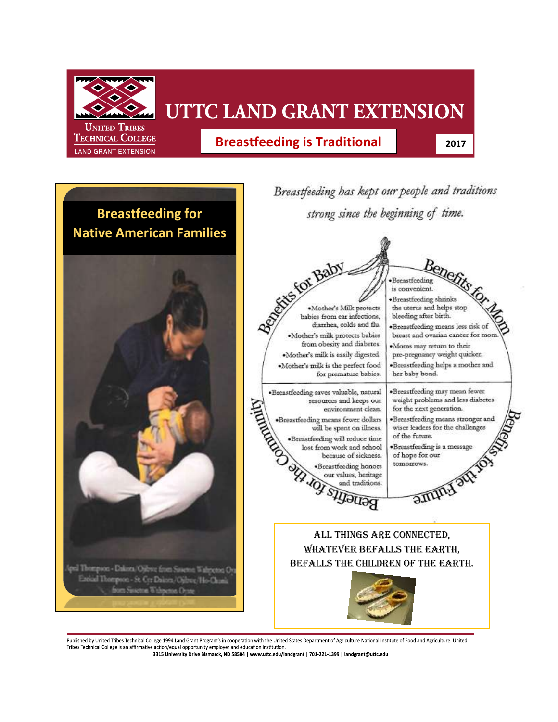

**TECHNICAL COLLEGE** LAND GRANT EXTENSION

## UTTC LAND GRANT EXTENSION

**Breastfeeding is Traditional 2017** 



Published by United Tribes Technical College 1994 Land Grant Program's in cooperation with the United States Department of Agriculture National Institute of Food and Agriculture. United Tribes Technical College is an affirmative action/equal opportunity employer and education institution 3315 University Drive Bismarck, ND 58504 | www.uttc.edu/landgrant | 701-221-1399 | landgrant@uttc.edu